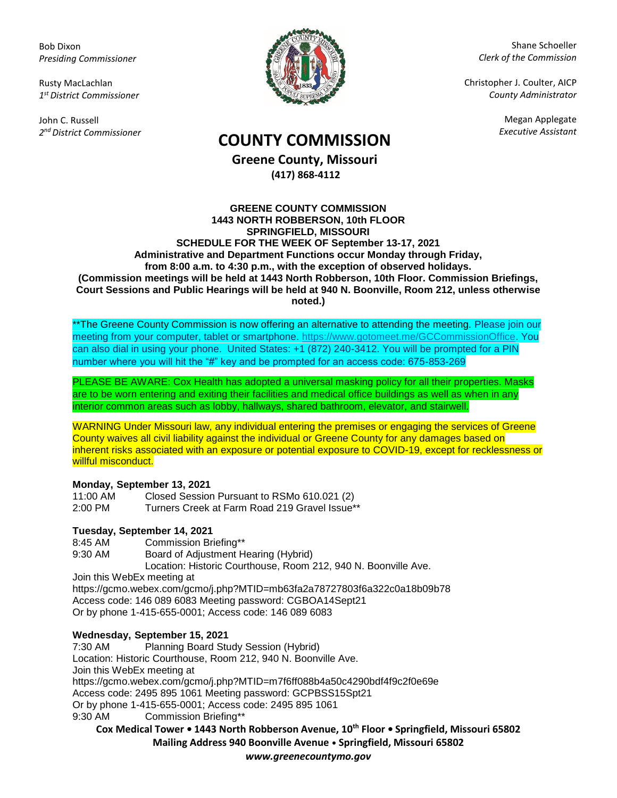Bob Dixon *Presiding Commissioner*

Rusty MacLachlan *1 st District Commissioner*

John C. Russell *2 nd District Commissioner*



Shane Schoeller *Clerk of the Commission*

Christopher J. Coulter, AICP *County Administrator*

Megan Applegate

# *Executive Assistant* **COUNTY COMMISSION**

**Greene County, Missouri (417) 868-4112**

#### **GREENE COUNTY COMMISSION 1443 NORTH ROBBERSON, 10th FLOOR SPRINGFIELD, MISSOURI SCHEDULE FOR THE WEEK OF September 13-17, 2021 Administrative and Department Functions occur Monday through Friday, from 8:00 a.m. to 4:30 p.m., with the exception of observed holidays. (Commission meetings will be held at 1443 North Robberson, 10th Floor. Commission Briefings, Court Sessions and Public Hearings will be held at 940 N. Boonville, Room 212, unless otherwise noted.)**

\*\*The Greene County Commission is now offering an alternative to attending the meeting. Please join our meeting from your computer, tablet or smartphone. [https://www.gotomeet.me/GCCommissionOffice.](https://www.gotomeet.me/GCCommissionOffice) You can also dial in using your phone. United States: +1 (872) 240-3412. You will be prompted for a PIN number where you will hit the "#" key and be prompted for an access code: 675-853-269

PLEASE BE AWARE: Cox Health has adopted a universal masking policy for all their properties. Masks are to be worn entering and exiting their facilities and medical office buildings as well as when in any interior common areas such as lobby, hallways, shared bathroom, elevator, and stairwell.

WARNING Under Missouri law, any individual entering the premises or engaging the services of Greene County waives all civil liability against the individual or Greene County for any damages based on inherent risks associated with an exposure or potential exposure to COVID-19, except for recklessness or willful misconduct.

### **Monday, September 13, 2021**

| 11:00 AM  | Closed Session Pursuant to RSMo 610.021 (2)   |
|-----------|-----------------------------------------------|
| $2:00$ PM | Turners Creek at Farm Road 219 Gravel Issue** |

## **Tuesday, September 14, 2021**

8:45 AM Commission Briefing\*\* 9:30 AM Board of Adjustment Hearing (Hybrid) Location: Historic Courthouse, Room 212, 940 N. Boonville Ave. Join this WebEx meeting at https://gcmo.webex.com/gcmo/j.php?MTID=mb63fa2a78727803f6a322c0a18b09b78 Access code: 146 089 6083 Meeting password: CGBOA14Sept21 Or by phone 1-415-655-0001; Access code: 146 089 6083

## **Wednesday, September 15, 2021**

7:30 AM Planning Board Study Session (Hybrid) Location: Historic Courthouse, Room 212, 940 N. Boonville Ave. Join this WebEx meeting at https://gcmo.webex.com/gcmo/j.php?MTID=m7f6ff088b4a50c4290bdf4f9c2f0e69e Access code: 2495 895 1061 Meeting password: GCPBSS15Spt21 Or by phone 1-415-655-0001; Access code: 2495 895 1061 9:30 AM Commission Briefing\*\*

**Cox Medical Tower • 1443 North Robberson Avenue, 10th Floor • Springfield, Missouri 65802 Mailing Address 940 Boonville Avenue • Springfield, Missouri 65802**

*www.greenecountymo.gov*